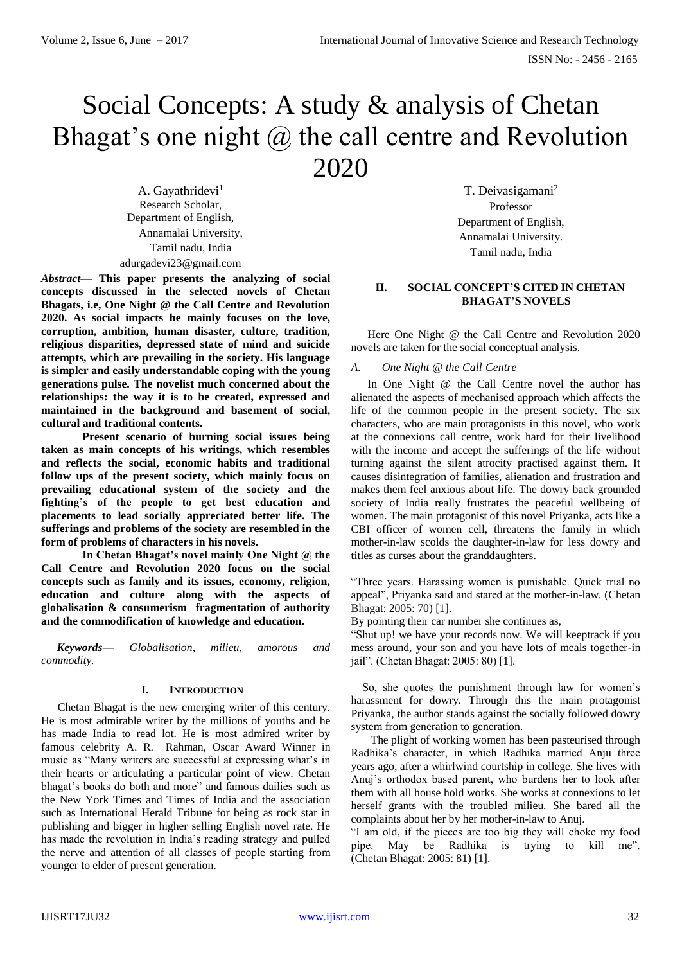# Social Concepts: A study & analysis of Chetan Bhagat's one night @ the call centre and Revolution 2020

A. Gayathridevi<sup>1</sup> Research Scholar, Department of English, Annamalai University, Tamil nadu, India adurgadevi23@gmail.com

*Abstract***— This paper presents the analyzing of social concepts discussed in the selected novels of Chetan Bhagats, i.e, One Night @ the Call Centre and Revolution 2020. As social impacts he mainly focuses on the love, corruption, ambition, human disaster, culture, tradition, religious disparities, depressed state of mind and suicide attempts, which are prevailing in the society. His language is simpler and easily understandable coping with the young generations pulse. The novelist much concerned about the relationships: the way it is to be created, expressed and maintained in the background and basement of social, cultural and traditional contents.**

**Present scenario of burning social issues being taken as main concepts of his writings, which resembles and reflects the social, economic habits and traditional follow ups of the present society, which mainly focus on prevailing educational system of the society and the fighting's of the people to get best education and placements to lead socially appreciated better life. The sufferings and problems of the society are resembled in the form of problems of characters in his novels.**

**In Chetan Bhagat's novel mainly One Night @ the Call Centre and Revolution 2020 focus on the social concepts such as family and its issues, economy, religion, education and culture along with the aspects of globalisation & consumerism fragmentation of authority and the commodification of knowledge and education.**

*Keywords— Globalisation, milieu, amorous and commodity.*

# **I. INTRODUCTION**

Chetan Bhagat is the new emerging writer of this century. He is most admirable writer by the millions of youths and he has made India to read lot. He is most admired writer by famous celebrity A. R. Rahman, Oscar Award Winner in music as "Many writers are successful at expressing what's in their hearts or articulating a particular point of view. Chetan bhagat's books do both and more" and famous dailies such as the New York Times and Times of India and the association such as International Herald Tribune for being as rock star in publishing and bigger in higher selling English novel rate. He has made the revolution in India's reading strategy and pulled the nerve and attention of all classes of people starting from younger to elder of present generation.

T. Deivasigamani<sup>2</sup> Professor Department of English, Annamalai University. Tamil nadu, India

# **II. SOCIAL CONCEPT'S CITED IN CHETAN BHAGAT'S NOVELS**

Here One Night @ the Call Centre and Revolution 2020 novels are taken for the social conceptual analysis.

## *A. One Night @ the Call Centre*

In One Night @ the Call Centre novel the author has alienated the aspects of mechanised approach which affects the life of the common people in the present society. The six characters, who are main protagonists in this novel, who work at the connexions call centre, work hard for their livelihood with the income and accept the sufferings of the life without turning against the silent atrocity practised against them. It causes disintegration of families, alienation and frustration and makes them feel anxious about life. The dowry back grounded society of India really frustrates the peaceful wellbeing of women. The main protagonist of this novel Priyanka, acts like a CBI officer of women cell, threatens the family in which mother-in-law scolds the daughter-in-law for less dowry and titles as curses about the granddaughters.

"Three years. Harassing women is punishable. Quick trial no appeal", Priyanka said and stared at the mother-in-law. (Chetan Bhagat: 2005: 70) [1].

By pointing their car number she continues as,

"Shut up! we have your records now. We will keeptrack if you mess around, your son and you have lots of meals together-in jail". (Chetan Bhagat: 2005: 80) [1].

 So, she quotes the punishment through law for women's harassment for dowry. Through this the main protagonist Priyanka, the author stands against the socially followed dowry system from generation to generation.

 The plight of working women has been pasteurised through Radhika's character, in which Radhika married Anju three years ago, after a whirlwind courtship in college. She lives with Anuj's orthodox based parent, who burdens her to look after them with all house hold works. She works at connexions to let herself grants with the troubled milieu. She bared all the complaints about her by her mother-in-law to Anuj.

"I am old, if the pieces are too big they will choke my food pipe. May be Radhika is trying to kill me". (Chetan Bhagat: 2005: 81) [1].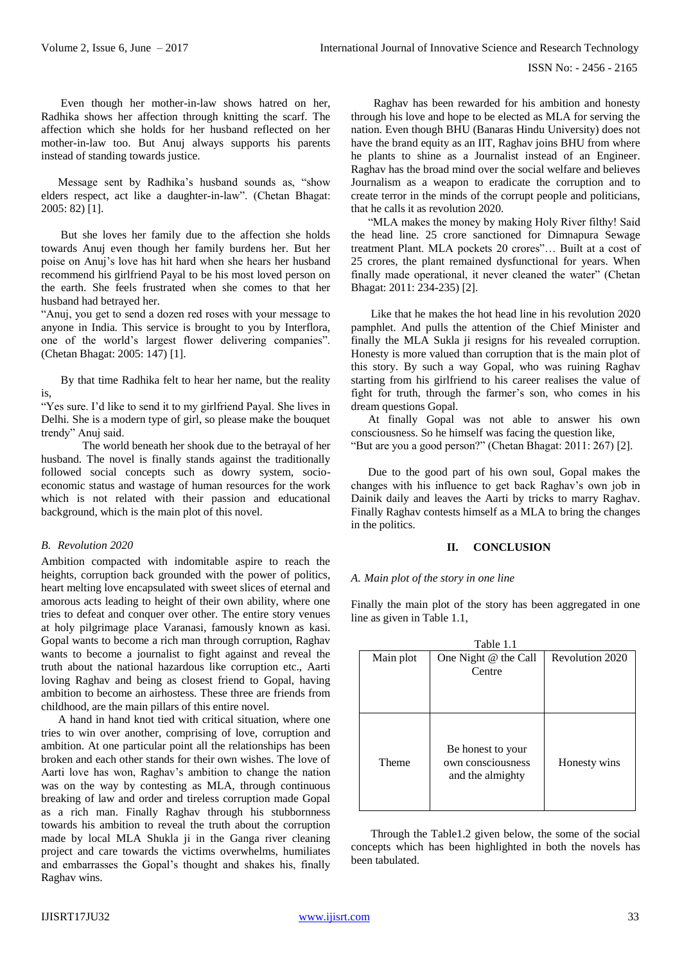Even though her mother-in-law shows hatred on her, Radhika shows her affection through knitting the scarf. The affection which she holds for her husband reflected on her mother-in-law too. But Anuj always supports his parents instead of standing towards justice.

 Message sent by Radhika's husband sounds as, "show elders respect, act like a daughter-in-law". (Chetan Bhagat: 2005: 82) [1].

 But she loves her family due to the affection she holds towards Anuj even though her family burdens her. But her poise on Anuj's love has hit hard when she hears her husband recommend his girlfriend Payal to be his most loved person on the earth. She feels frustrated when she comes to that her husband had betrayed her.

"Anuj, you get to send a dozen red roses with your message to anyone in India. This service is brought to you by Interflora, one of the world's largest flower delivering companies". (Chetan Bhagat: 2005: 147) [1].

 By that time Radhika felt to hear her name, but the reality is,

"Yes sure. I'd like to send it to my girlfriend Payal. She lives in Delhi. She is a modern type of girl, so please make the bouquet trendy" Anuj said.

The world beneath her shook due to the betrayal of her husband. The novel is finally stands against the traditionally followed social concepts such as dowry system, socioeconomic status and wastage of human resources for the work which is not related with their passion and educational background, which is the main plot of this novel.

#### *B. Revolution 2020*

Ambition compacted with indomitable aspire to reach the heights, corruption back grounded with the power of politics, heart melting love encapsulated with sweet slices of eternal and amorous acts leading to height of their own ability, where one tries to defeat and conquer over other. The entire story venues at holy pilgrimage place Varanasi, famously known as kasi. Gopal wants to become a rich man through corruption, Raghav wants to become a journalist to fight against and reveal the truth about the national hazardous like corruption etc., Aarti loving Raghav and being as closest friend to Gopal, having ambition to become an airhostess. These three are friends from childhood, are the main pillars of this entire novel.

 A hand in hand knot tied with critical situation, where one tries to win over another, comprising of love, corruption and ambition. At one particular point all the relationships has been broken and each other stands for their own wishes. The love of Aarti love has won, Raghav's ambition to change the nation was on the way by contesting as MLA, through continuous breaking of law and order and tireless corruption made Gopal as a rich man. Finally Raghav through his stubbornness towards his ambition to reveal the truth about the corruption made by local MLA Shukla ji in the Ganga river cleaning project and care towards the victims overwhelms, humiliates and embarrasses the Gopal's thought and shakes his, finally Raghav wins.

 Raghav has been rewarded for his ambition and honesty through his love and hope to be elected as MLA for serving the nation. Even though BHU (Banaras Hindu University) does not have the brand equity as an IIT, Raghav joins BHU from where he plants to shine as a Journalist instead of an Engineer. Raghav has the broad mind over the social welfare and believes Journalism as a weapon to eradicate the corruption and to create terror in the minds of the corrupt people and politicians, that he calls it as revolution 2020.

 "MLA makes the money by making Holy River filthy! Said the head line. 25 crore sanctioned for Dimnapura Sewage treatment Plant. MLA pockets 20 crores"… Built at a cost of 25 crores, the plant remained dysfunctional for years. When finally made operational, it never cleaned the water" (Chetan Bhagat: 2011: 234-235) [2].

 Like that he makes the hot head line in his revolution 2020 pamphlet. And pulls the attention of the Chief Minister and finally the MLA Sukla ji resigns for his revealed corruption. Honesty is more valued than corruption that is the main plot of this story. By such a way Gopal, who was ruining Raghav starting from his girlfriend to his career realises the value of fight for truth, through the farmer's son, who comes in his dream questions Gopal.

 At finally Gopal was not able to answer his own consciousness. So he himself was facing the question like, "But are you a good person?" (Chetan Bhagat: 2011: 267) [2].

 Due to the good part of his own soul, Gopal makes the changes with his influence to get back Raghav's own job in Dainik daily and leaves the Aarti by tricks to marry Raghav. Finally Raghav contests himself as a MLA to bring the changes in the politics.

## **II. CONCLUSION**

#### *A. Main plot of the story in one line*

Finally the main plot of the story has been aggregated in one line as given in Table 1.1,

| Table 1.1    |                      |                        |  |
|--------------|----------------------|------------------------|--|
| Main plot    | One Night @ the Call | <b>Revolution 2020</b> |  |
|              | Centre               |                        |  |
|              |                      |                        |  |
|              |                      |                        |  |
|              |                      |                        |  |
|              |                      |                        |  |
|              | Be honest to your    |                        |  |
| <b>Theme</b> | own consciousness    | Honesty wins           |  |
|              | and the almighty     |                        |  |
|              |                      |                        |  |
|              |                      |                        |  |
|              |                      |                        |  |

 Through the Table1.2 given below, the some of the social concepts which has been highlighted in both the novels has been tabulated.